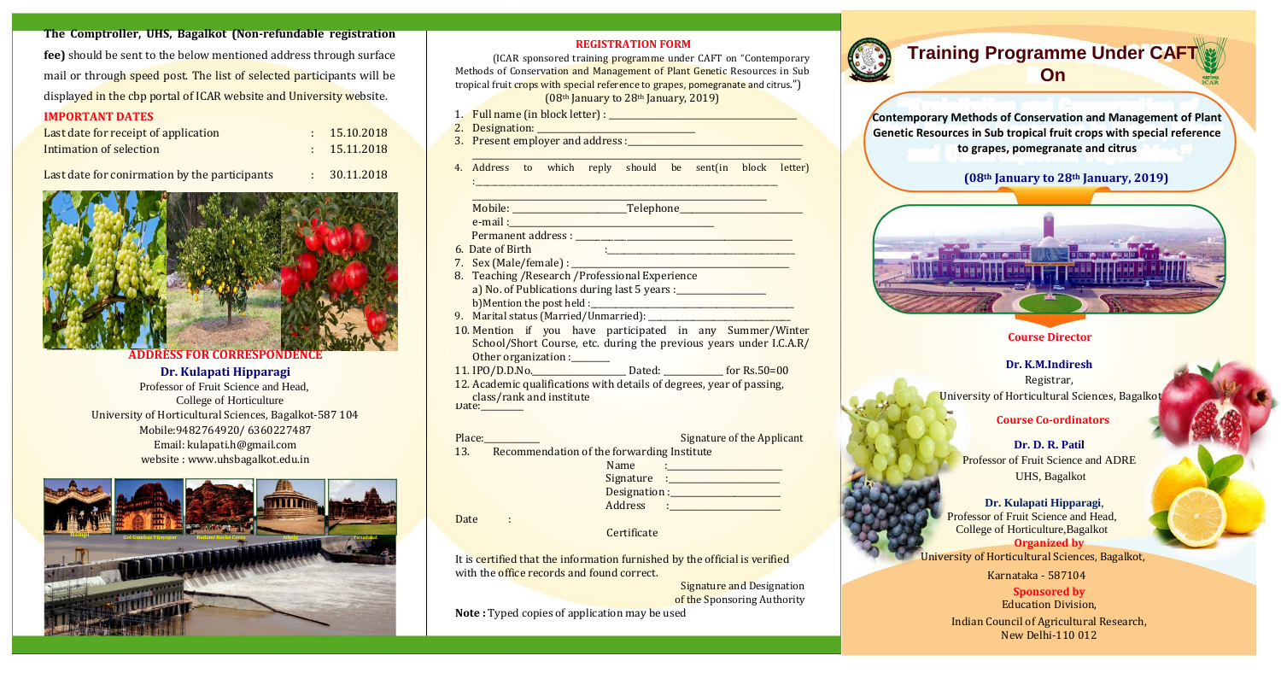**The Comptroller, UHS, Bagalkot (Non-refundable registration fee)** should be sent to the below mentioned address through surface mail or through speed post. The list of selected participants will be displayed in the cbp portal of ICAR website and University website.

### **IMPORTANT DATES**

| Last date for receipt of application | : 15.10.2018 |
|--------------------------------------|--------------|
| Intimation of selection              | : 15.11.2018 |

Last date for conirmation by the participants : 30.11.2018



### **ADDRESS FOR CORRESPONDENC**

### **Dr. Kulapati Hipparagi**

 Professor of Fruit Science and Head, College of Horticulture University of Horticultural Sciences, Bagalkot‐587 104 Mobile:9482764920/ 6360227487 Email: kulapati.h@gmail.com website : www.uhsbagalkot.edu.in



### **REGISTRATION FORM**



(ICAR sponsored training programme under CAFT on "Contemporary Methods of Conservation and Management of Plant Genetic Resources in Sub tropical fruit crops with special reference to grapes, pomegranate and citrus.") (08th January to 28th January, 2019)

- 6. Date of Birth  $\vdots$  .  $\vdots$  .  $\vdots$  .  $\vdots$  .  $\vdots$  .  $\vdots$  .  $\vdots$  .  $\vdots$  .  $\vdots$  .  $\vdots$  .  $\vdots$  .  $\vdots$  .  $\vdots$  .  $\vdots$  .  $\vdots$  .  $\vdots$  .  $\vdots$  .  $\vdots$  .  $\vdots$  .  $\vdots$  .  $\vdots$  .  $\vdots$  .  $\vdots$  .  $\vdots$  .  $\vdots$  .  $\vdots$
- 7. Sex (Male/female) :  $\Box$
- 8. Teaching /Research /Professional Experience a) No. of Publications during last 5 years : b)Mention the post held :
- 9. Marital status (Married/Unmarried):
- 10. Mention if you have participated in any Summer/Winter School/Short Course, etc. during the previous years under I.C.A.R/ Other organization :\_\_\_\_\_\_\_
- 11. IPO/D.D.No. Dated: 60r Rs.50=00
- 12. Academic qualifications with details of degrees, year of passing, class/rank and institute

 $Date:$   $\_\_$ 

| Place: |                                            | Signature of the Applicant |
|--------|--------------------------------------------|----------------------------|
| 13.    | Recommendation of the forwarding Institute |                            |
|        | Name                                       |                            |
|        |                                            |                            |
|        | Designation :______                        |                            |
|        | Address                                    |                            |
| Date   |                                            |                            |
|        | $\sim$ $\sim$ $\sim$                       |                            |

**Certificate** 

- 1. Full name (in block letter) : \_\_\_\_\_\_\_\_\_\_\_\_\_\_\_\_\_\_\_\_\_\_\_\_\_\_\_\_\_\_\_\_\_\_\_\_\_\_\_\_\_\_\_\_
- 2. Designation: \_\_\_\_\_\_\_\_\_\_\_\_\_\_\_\_\_\_\_\_\_\_\_\_\_\_\_\_\_\_\_\_\_\_\_\_\_
- 3. Present employer and address :
- 4. Address to which reply should be sent(in block letter) :\_\_\_\_\_\_\_\_\_\_\_\_\_\_\_\_\_\_\_\_\_\_\_\_\_\_\_\_\_\_\_\_\_\_\_\_\_\_\_\_\_\_\_\_\_\_\_\_\_\_\_\_\_\_\_\_\_\_\_\_\_\_\_\_\_\_\_\_\_\_\_\_\_\_\_\_\_\_

\_\_\_\_\_\_\_\_\_\_\_\_\_\_\_\_\_\_\_\_\_\_\_\_\_\_\_\_\_\_\_\_\_\_\_\_\_\_\_\_\_\_\_\_\_\_\_\_\_\_\_\_\_\_\_\_\_\_\_\_\_\_\_\_\_\_\_\_\_\_\_\_\_\_\_\_\_

It is certified that the information furnished by the official is verified with the office records and found correct.

**Signature and Designation** of the Sponsoring Authority

\_\_\_\_\_\_\_\_\_\_\_\_\_\_\_\_\_\_\_\_\_\_\_\_\_\_\_\_\_\_\_\_\_\_\_\_\_\_\_\_\_\_\_\_\_\_\_\_\_\_\_\_\_\_\_\_\_\_\_\_\_\_\_\_\_\_\_\_\_

Mobile: \_\_\_\_\_\_\_\_\_\_\_\_\_\_\_\_\_\_\_\_\_\_\_\_\_\_\_Telephone\_\_\_\_\_\_\_\_\_\_\_\_\_\_\_\_\_\_\_\_\_\_\_\_\_\_\_\_\_ e‐mail :\_\_\_\_\_\_\_\_\_\_\_\_\_\_\_\_\_\_\_\_\_\_\_\_\_\_\_\_\_\_\_\_\_\_\_\_\_\_\_\_\_\_\_\_\_\_\_\_ Permanent address : \_\_\_\_\_\_\_\_\_\_\_\_\_\_\_\_\_\_\_\_\_\_\_\_\_\_\_\_\_\_\_\_\_\_\_\_\_\_\_\_\_\_\_\_\_\_\_\_\_\_\_

**Note :** Typed copies of application may be used





# **Training Programme Under CAFT On**

**Contemporary Methods of Conservation and Management of Plant Genetic Resources in Sub tropical fruit crops with special reference to grapes, pomegranate and citrus**

**(08th January to 28th January, 2019)**



### **Course Director**

**Dr. K.M.Indiresh** Registrar, University of Horticultural Sciences, Bagalkot

**Course Co-ordinators**

**Dr. D. R. Patil** Professor of Fruit Science and ADRE UHS, Bagalkot

**Dr. Kulapati Hipparagi**, Professor of Fruit Science and Head, College of Horticulture,Bagalkot **Organized by**

University of Horticultural Sciences, Bagalkot,

Karnataka ‐ 587104

**Sponsored by** Education Division, Indian Council of Agricultural Research, New Delhi‐110 012